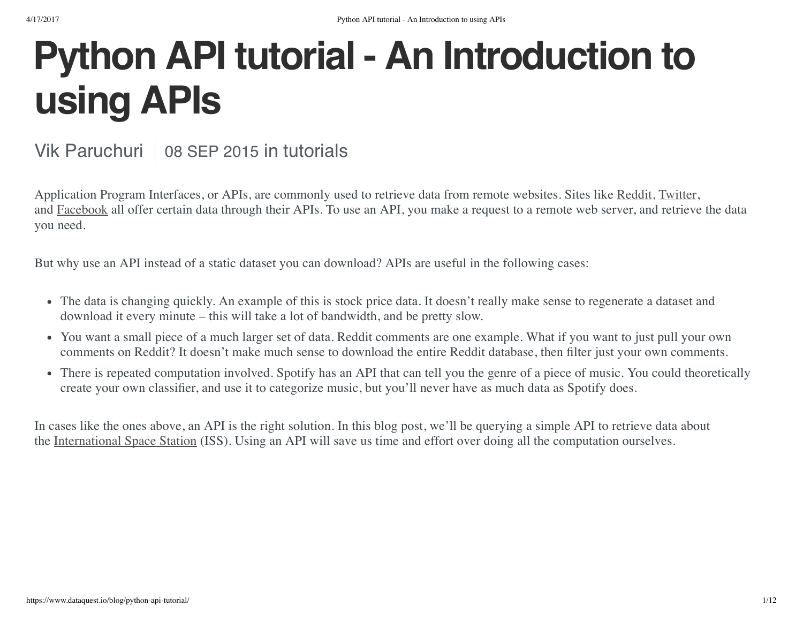### **Python API tutorial - An Introduction to using APIs**

#### Vik Paruchuri | 08 SEP 2015 in tutorials

Application Program Interfaces, or APIs, are commonly used to retrieve data from remote websites. Sites like [Reddit](https://www.reddit.com/), [Twitter](https://www.twitter.com/), and [Facebook](https://www.facebook.com/) all offer certain data through their APIs. To use an API, you make a request to a remote web server, and retrieve the data you need.

But why use an API instead of a static dataset you can download? APIs are useful in the following cases:

- The data is changing quickly. An example of this is stock price data. It doesn't really make sense to regenerate a dataset and download it every minute – this will take a lot of bandwidth, and be pretty slow.
- You want a small piece of a much larger set of data. Reddit comments are one example. What if you want to just pull your own comments on Reddit? It doesn't make much sense to download the entire Reddit database, then filter just your own comments.
- There is repeated computation involved. Spotify has an API that can tell you the genre of a piece of music. You could theoretically create your own classifier, and use it to categorize music, but you'll never have as much data as Spotify does.

In cases like the ones above, an API is the right solution. In this blog post, we'll be querying a simple API to retrieve data about the [International](https://en.wikipedia.org/wiki/International_Space_Station) Space Station (ISS). Using an API will save us time and effort over doing all the computation ourselves.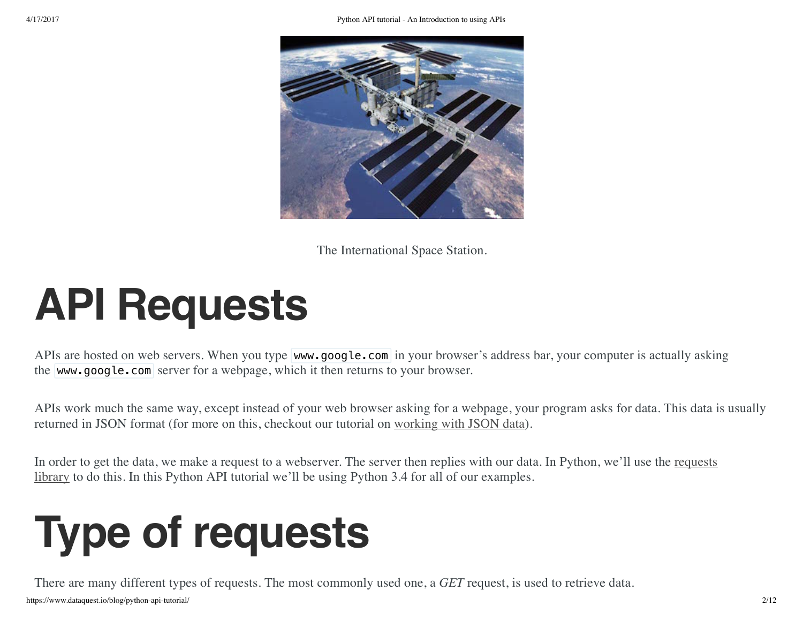

The International Space Station.

### **API Requests**

APIs are hosted on web servers. When you type www.google.com in your browser's address bar, your computer is actually asking the www.google.com server for a webpage, which it then returns to your browser.

APIs work much the same way, except instead of your web browser asking for a webpage, your program asks for data. This data is usually returned in JSON format (for more on this, checkout our tutorial on [working](https://www.dataquest.io/blog/python-json-tutorial/) with JSON data).

In order to get the data, we make a request to a [webserver.](http://www.python-requests.org/en/latest/) The server then replies with our data. In Python, we'll use the requests library to do this. In this Python API tutorial we'll be using Python 3.4 for all of our examples.

## **Type of requests**

https://www.dataquest.io/blog/python-api-tutorial/ 2/12 There are many different types of requests. The most commonly used one, a *GET* request, is used to retrieve data.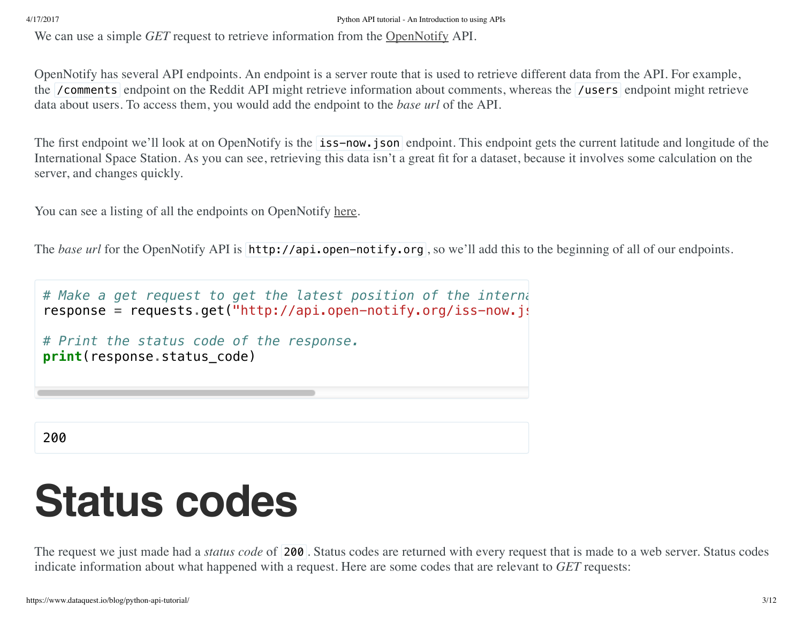We can use a simple *GET* request to retrieve information from the **[OpenNotify](http://open-notify.org/)** API.

OpenNotify has several API endpoints. An endpoint is a server route that is used to retrieve different data from the API. For example, the *(comments endpoint on the Reddit API might retrieve information about comments, whereas the <i>(users endpoint might retrieve*) data about users. To access them, you would add the endpoint to the *base url* of the API.

The first endpoint we'll look at on OpenNotify is the **iss-now.json** endpoint. This endpoint gets the current latitude and longitude of the International Space Station. As you can see, retrieving this data isn't a great fit for a dataset, because it involves some calculation on the server, and changes quickly.

You can see a listing of all the endpoints on OpenNotify [here.](http://open-notify.org/Open-Notify-API/)

The *base url* for the OpenNotify API is http://api.open-notify.org, so we'll add this to the beginning of all of our endpoints.

```
# Make a get request to get the latest position of the interna
response = requests.get("http://api.open-notify.org/iss-now.js
# Print the status code of the response.
print(response.status_code)
```
200

### **Status codes**

The request we just made had a *status code* of 200 . Status codes are returned with every request that is made to a web server. Status codes indicate information about what happened with a request. Here are some codes that are relevant to *GET* requests: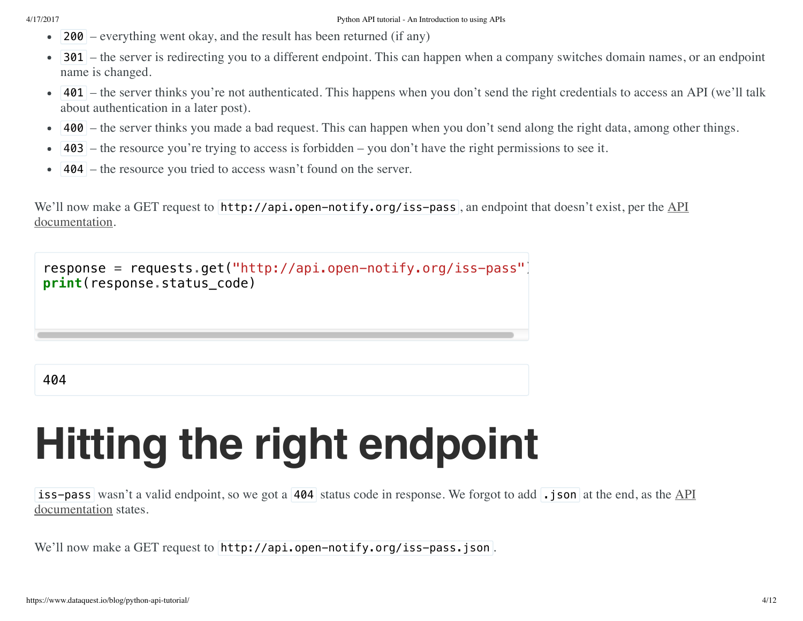- 200 everything went okay, and the result has been returned (if any)  $\bullet$
- 301 the server is redirecting you to a different endpoint. This can happen when a company switches domain names, or an endpoint name is changed.
- 401 the server thinks you're not authenticated. This happens when you don't send the right credentials to access an API (we'll talk about authentication in a later post).
- 400 the server thinks you made a bad request. This can happen when you don't send along the right data, among other things.  $\bullet$
- 403 the resource you're trying to access is forbidden you don't have the right permissions to see it.
- 404 the resource you tried to access wasn't found on the server.  $\bullet$

We'll now make a GET request to [http://api.open-notify.org/iss-pass](http://open-notify.org/Open-Notify-API/), an endpoint that doesn't exist, per the API documentation.



# **Hitting the right endpoint**

iss-pass wasn't a valid endpoint, so we got a 404 status code in response. We forgot to add . json at the end, as the  $\Delta PI$ [documentation](http://open-notify.org/Open-Notify-API/) states.

We'll now make a GET request to http://api.open-notify.org/iss-pass.json.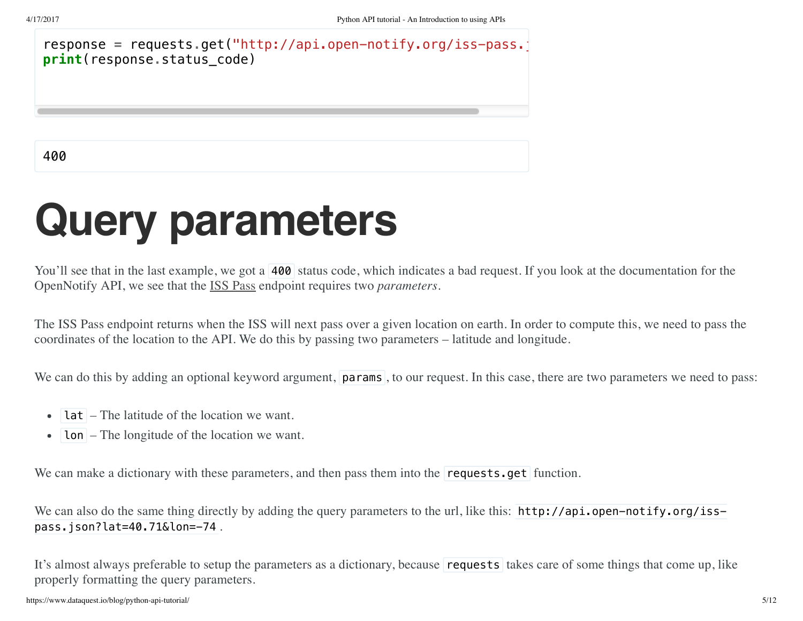response = requests.get("http://api.open-notify.org/iss-pass. **print**(response**.**status\_code)

400

### **Query parameters**

You'll see that in the last example, we got a 400 status code, which indicates a bad request. If you look at the documentation for the OpenNotify API, we see that the ISS [Pass](http://open-notify.org/Open-Notify-API/ISS-Pass-Times/) endpoint requires two *parameters*.

The ISS Pass endpoint returns when the ISS will next pass over a given location on earth. In order to compute this, we need to pass the coordinates of the location to the API. We do this by passing two parameters – latitude and longitude.

We can do this by adding an optional keyword argument, **params**, to our request. In this case, there are two parameters we need to pass:

- lat The latitude of the location we want.
- $\bullet$  | **lon**  $\vert$  The longitude of the location we want.

We can make a dictionary with these parameters, and then pass them into the **requests.get** function.

We can also do the same thing directly by adding the query parameters to the url, like this: http://api.open-notify.org/isspass.json?lat=40.71&lon=-74 .

It's almost always preferable to setup the parameters as a dictionary, because requests takes care of some things that come up, like properly formatting the query parameters.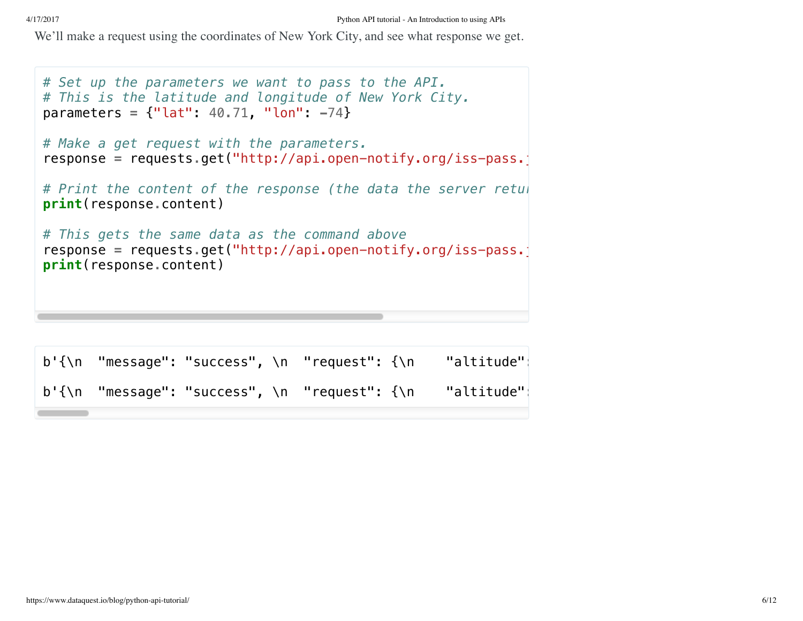We'll make a request using the coordinates of New York City, and see what response we get.

```
# Set up the parameters we want to pass to the API.
# This is the latitude and longitude of New York City.
parameters = {"lat": 40.71, "lon": -74}
# Make a get request with the parameters.
response = requests.get("http://api.open-notify.org/iss-pass.
# Print the content of the response (the data the server retul
print(response.content)
# This gets the same data as the command above
response = requests.get("http://api.open-notify.org/iss-pass.j
print(response.content)
b'{\n "message": "success", \n "request": {\n  "altitude"|
b'{\n "message": "success", \n  "request": {\n   "altitude"|
```
<u> Tanzania (</u>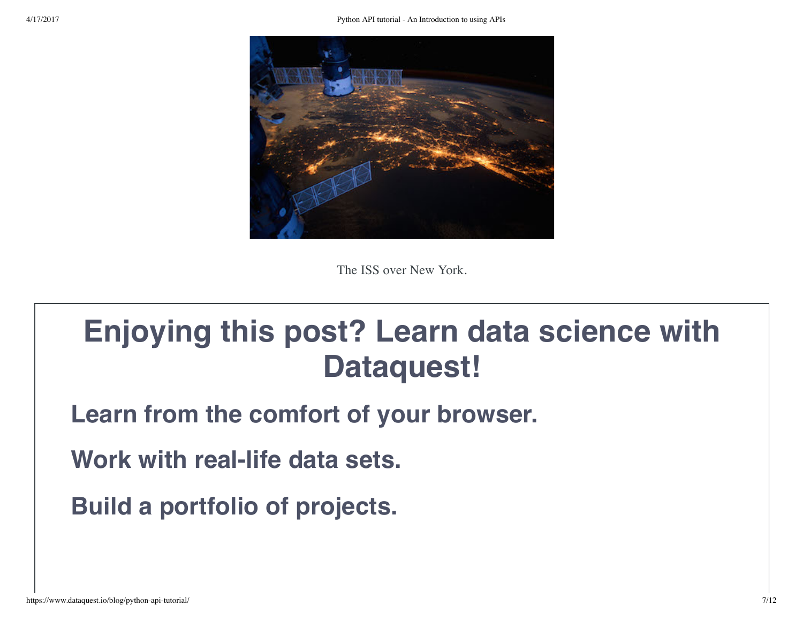

The ISS over New York.

### **Enjoying this post? Learn data science with Dataquest!**

**Learn from the comfort of your browser.**

**Work with real-life data sets.**

**Build a portfolio of projects.**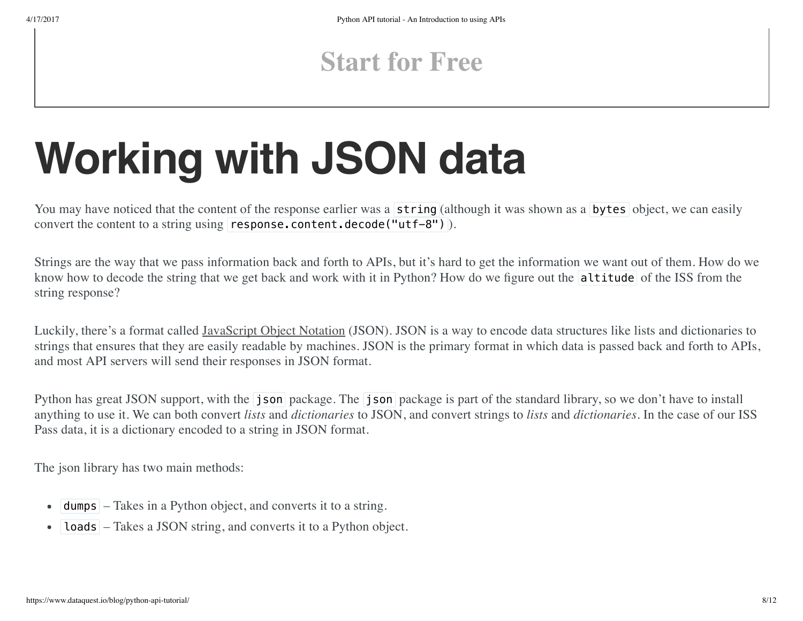### **[Start](https://www.dataquest.io/) for Free**

## **Working with JSON data**

You may have noticed that the content of the response earlier was a string (although it was shown as a bytes object, we can easily convert the content to a string using  $resparsecontrol.decode("utf-8")$ .

Strings are the way that we pass information back and forth to APIs, but it's hard to get the information we want out of them. How do we know how to decode the string that we get back and work with it in Python? How do we figure out the altitude of the ISS from the string response?

Luckily, there's a format called [JavaScript](http://json.org/) Object Notation (JSON). JSON is a way to encode data structures like lists and dictionaries to strings that ensures that they are easily readable by machines. JSON is the primary format in which data is passed back and forth to APIs, and most API servers will send their responses in JSON format.

Python has great JSON support, with the **json** package. The **json** package is part of the standard library, so we don't have to install anything to use it. We can both convert *lists* and *dictionaries* to JSON, and convert strings to *lists* and *dictionaries*. In the case of our ISS Pass data, it is a dictionary encoded to a string in JSON format.

The json library has two main methods:

- dumps Takes in a Python object, and converts it to a string.
- loads Takes a JSON string, and converts it to a Python object.  $\bullet$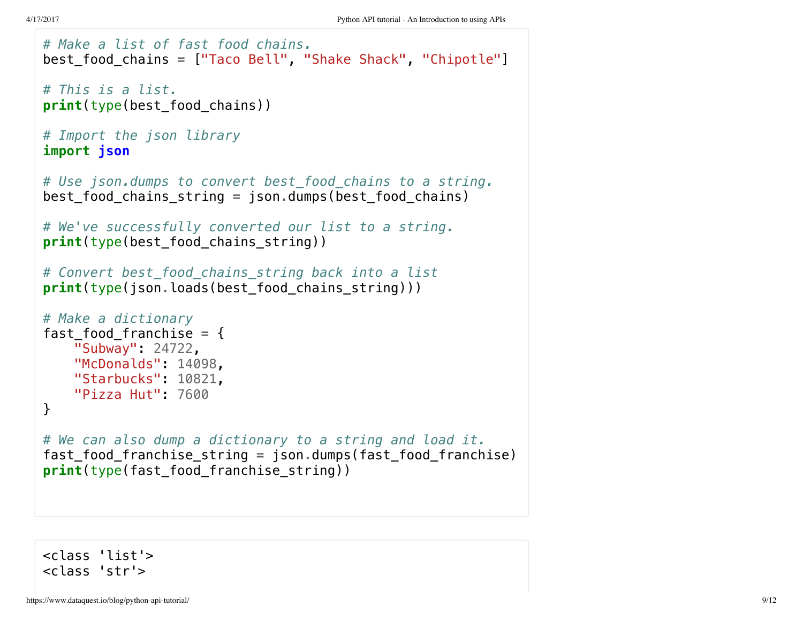```
# Make a list of fast food chains.
best_food_chains = ["Taco Bell", "Shake Shack", "Chipotle"]
# This is a list.
print(type(best_food_chains))
# Import the json library
import json
# Use json.dumps to convert best_food_chains to a string.
best_food_chains_string = json.dumps(best_food_chains)
# We've successfully converted our list to a string.
print(type(best_food_chains_string))
# Convert best_food_chains_string back into a list
print(type(json.loads(best_food_chains_string)))
# Make a dictionary
fast_food_franchise = {
    "Subway": 24722,
    "McDonalds": 14098,
    "Starbucks": 10821,
    "Pizza Hut": 7600
}
# We can also dump a dictionary to a string and load it.
fast_food_franchise_string = json.dumps(fast_food_franchise)
print(type(fast food franchise string))
```
<class 'list'> <class 'str'>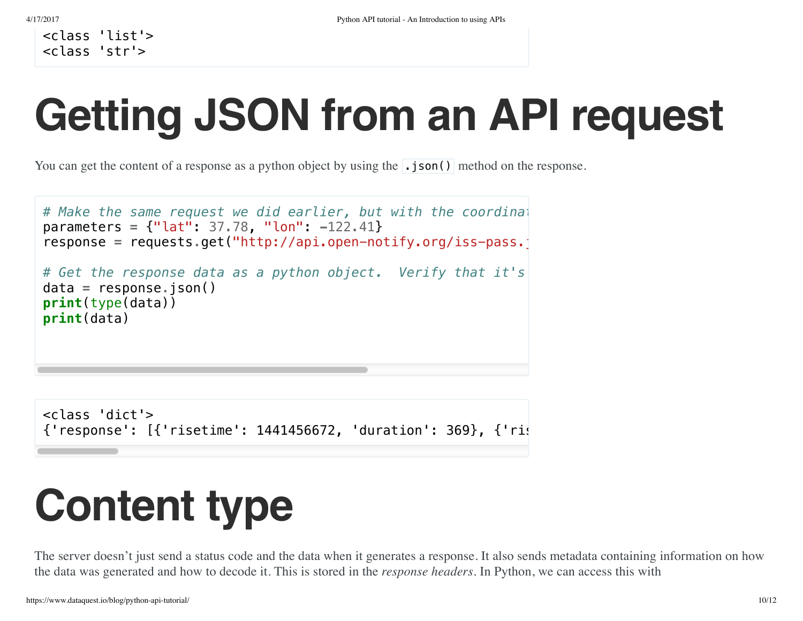<class 'list'> <class 'str'>

# **Getting JSON from an API request**

You can get the content of a response as a python object by using the **.**json() method on the response.

```
# Make the same request we did earlier, but with the coordinat
parameters = {"lat": 37.78, "lon": -122.41}
response = requests.get("http://api.open-notify.org/iss-pass.
# Get the response data as a python object. Verify that it's a dictionary.
data = response.json()
print(type(data))
print(data)
```

```
<class 'dict'>
{'response': [{'risetime': 1441456672, 'duration': 369}, {'rist'}
```
### **Content type**

The server doesn't just send a status code and the data when it generates a response. It also sends metadata containing information on how the data was generated and how to decode it. This is stored in the *response headers*. In Python, we can access this with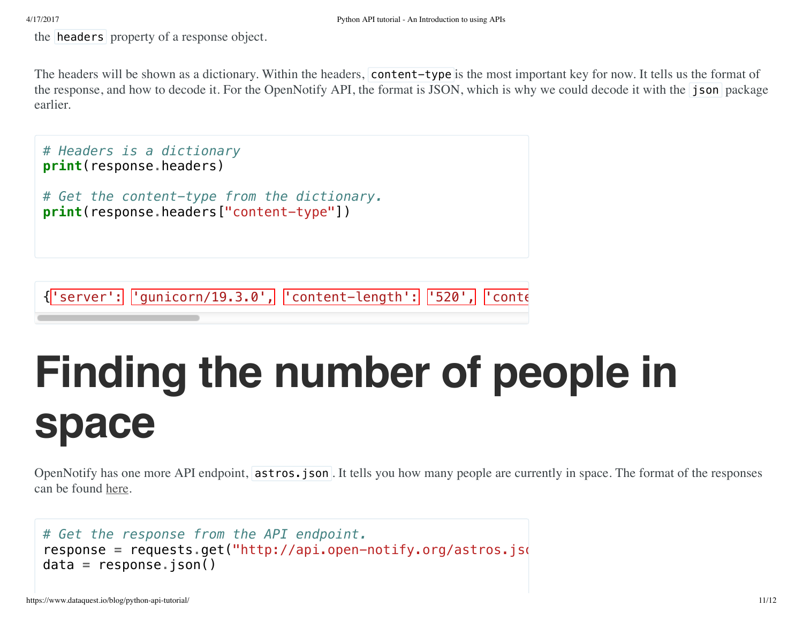the **headers** property of a response object.

The headers will be shown as a dictionary. Within the headers, content-type is the most important key for now. It tells us the format of the response, and how to decode it. For the OpenNotify API, the format is JSON, which is why we could decode it with the json package earlier.

```
# Headers is a dictionary
print(response.headers)
# Get the content-type from the dictionary.
print(response.headers["content-type"])
```
 ${\texttt{``server':}\mid \texttt{'gunicorn/19.3.0'},\mid \texttt{'content-length':}\mid \texttt{'}520',\mid \texttt{'cont}\mid}$ 

### **Finding the number of people in space**

OpenNotify has one more API endpoint, astros.json. It tells you how many people are currently in space. The format of the responses can be found [here.](http://open-notify.org/Open-Notify-API/People-In-Space/)

```
# Get the response from the API endpoint.
response = requests.get("http://api.open-notify.org/astros.json
data = response.json()
```